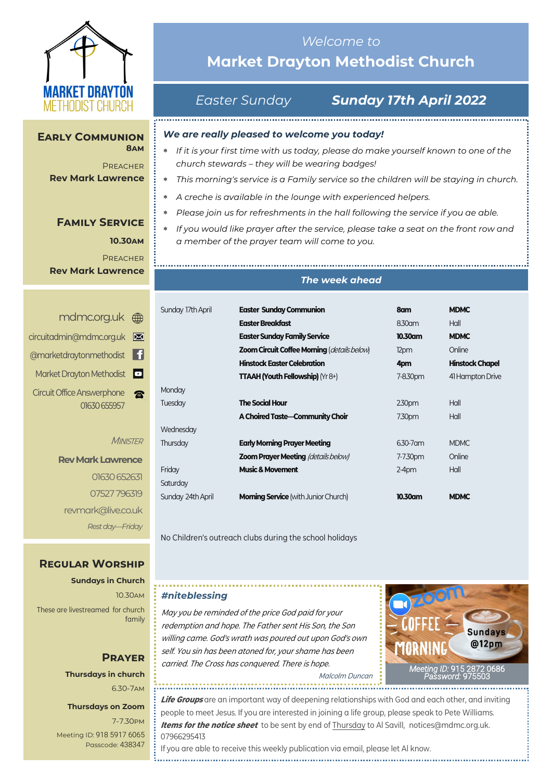

#### **Early Communion 8am**

**PREACHER Rev Mark Lawrence**

## **Family Service**

**10.30am PREACHER Rev Mark Lawrence**

| mdmc.org.uk <sub>  sep</sub>      |  |
|-----------------------------------|--|
| circuitadmin@mdmc.org.uk          |  |
| @marketdraytonmethodist           |  |
| Market Drayton Methodist          |  |
| <b>Circuit Office Answerphone</b> |  |
| 01630 655957                      |  |

#### **MINISTER**

**Rev Mark Lawrence** 01630 652631 07527 796319 revmark@live.co.uk *Rest day—Friday*

## *Welcome to*  **Market Drayton Methodist Church**

## *Easter Sunday Sunday 17th April 2022*

## *We are really pleased to welcome you today!*

- *If it is your first time with us today, please do make yourself known to one of the church stewards – they will be wearing badges!*
	- *This morning's service is a Family service so the children will be staying in church.*
- *A creche is available in the lounge with experienced helpers.*
- *Please join us for refreshments in the hall following the service if you ae able.*
- *If you would like prayer after the service, please take a seat on the front row and a member of the prayer team will come to you.*

### *The week ahead*

| Sunday 17th April | <b>Easter Sunday Communion</b>                     | 8am       | <b>MDMC</b>            |
|-------------------|----------------------------------------------------|-----------|------------------------|
|                   | <b>Easter Breakfast</b>                            | 8.30am    | Hall                   |
|                   | <b>Easter Sunday Family Service</b>                | 10.30am   | <b>MDMC</b>            |
|                   | <b>Zoom Circuit Coffee Morning (details below)</b> | 12pm      | Online                 |
|                   | <b>Hinstock Easter Celebration</b>                 | 4pm       | <b>Hinstock Chapel</b> |
|                   | <b>TTAAH (Youth Fellowship)</b> ( $Yr8+$ )         | 7-8.30pm  | 41 Hampton Drive       |
| Monday            |                                                    |           |                        |
| Tuesday           | <b>The Social Hour</b>                             | 2.30pm    | Hall                   |
|                   | A Choired Taste-Community Choir                    | 7.30pm    | Hall                   |
| Wednesday         |                                                    |           |                        |
| Thursday          | <b>Early Morning Prayer Meeting</b>                | 6.30-7 am | <b>MDMC</b>            |
|                   | <b>Zoom Prayer Meeting (details below)</b>         | 7-7.30pm  | Online                 |
| Friday            | <b>Music &amp; Movement</b>                        | $2-4pm$   | Hall                   |
| Saturday          |                                                    |           |                        |
| Sunday 24th April | <b>Morning Service</b> (with Junior Church)        | 10.30am   | <b>MDMC</b>            |
|                   |                                                    |           |                        |

No Children's outreach clubs during the school holidays

## **Regular Worship**

**Sundays in Church** 10.30am These are livestreamed for church family

## **Prayer Thursdays in church** 6.30-7am

#### **Thursdays on Zoom**

7-7.30pm [Meeting ID:](https://us04web.zoom.us/j/77138650306?fbclid=IwAR1B778-w3GWZgDnAqUFq-X6hXjzASNTsZuRIt4kZ4Cpyur_3CO2EGlBBwY#success) 918 5917 6065 Passcode: 438347

#### *#niteblessing*

May you be reminded of the price God paid for your redemption and hope. The Father sent His Son, the Son willing came. God's wrath was poured out upon God's own self. You sin has been atoned for, your shame has been carried. The Cross has conquered. There is hope.



Malcolm Duncan

**Life Groups** are an important way of deepening relationships with God and each other, and inviting people to meet Jesus. If you are interested in joining a life group, please speak to Pete Williams. **Items for the notice sheet** to be sent by end of Thursday to Al Savill, notices@mdmc.org.uk. 07966295413

If you are able to receive this weekly publication via email, please let Al know.